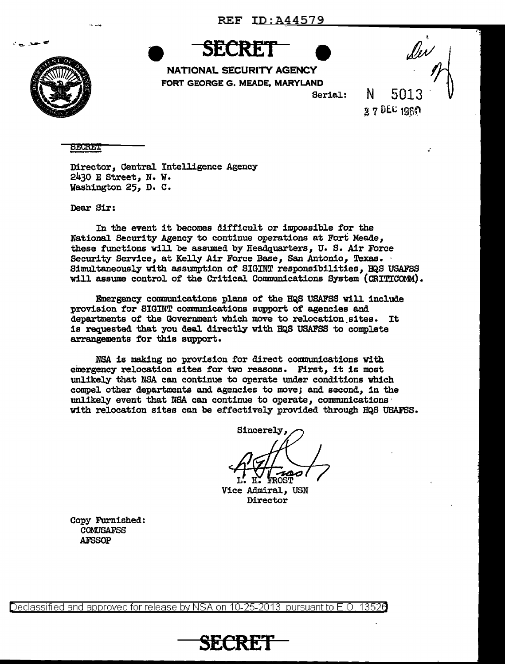

. . . .

**SECRET** 

NATIONAL SECURITY AGENCY FORT GEORGE G. MEADE, MARYLAND

Serial:

N 5013  $27$  DEC 1960

**SECRET** 

Director, Central Intelligence Agency 2430 E Street, N. W. Washington 25, D. C.

Dear Sir:

In the event it becomes difficult or impossible for the National Security Agency to continue operations at Fort Meade, these functions will be assumed by Headquarters, U. S. Air Force Security Service, at Kelly Air Force Base, San Antonio, Texas. Simultaneously with assumption of SIGINT responsibilities, HQS USAFSS will assume control of the Critical Communications System ( CRITICOMM).

Emergency communications plans of the HQS USAFSS will include provision for SIGINT communications support of agencies and departments of the Government which move to relocation\_ sites. It is requested that you deal directly w1 th HQS USAFSS to complete arrangements for this support.

NSA is making no provision for direct communications with emergency relocation sites for two reasons. First, it is most unlikely that NSA can continue to operate under conditions which compel other departments and agencies to move; and second, in the unlikely event that NSA can continue to operate, communications  $\cdot$ with relocation sites can be effectively provided through HQS USAFSS.

**Sincerely,** 

Vice Admiral, USN Director

Copy Furnished: COMUSAFSS AFSSOP

Declassified and approved for release by NSA on 10-25-2013 pursuant to E.O. 13526